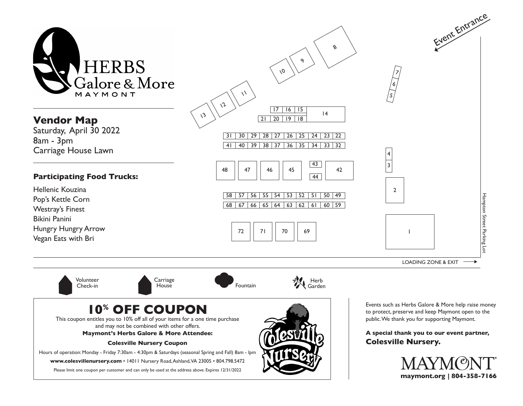

## **10% OFF COUPON**

This coupon entitles you to 10% off all of your items for a one time purchase and may not be combined with other offers.

**Maymont's Herbs Galore & More Attendee:**

**Colesville Nursery Coupon**

Hours of operation: Monday - Friday 7:30am - 4:30pm & Saturdays (seasonal Spring and Fall) 8am - lpm

**www.colesvillenursery.com** • 14011 Nursery Road, Ashland, VA 23005 • 804.798.5472

Please limit one coupon per customer and can only be used at the address above. Expires 12/31/2022



Events such as Herbs Galore & More help raise money to protect, preserve and keep Maymont open to the public. We thank you for supporting Maymont.

**A special thank you to our event partner, Colesville Nursery.**